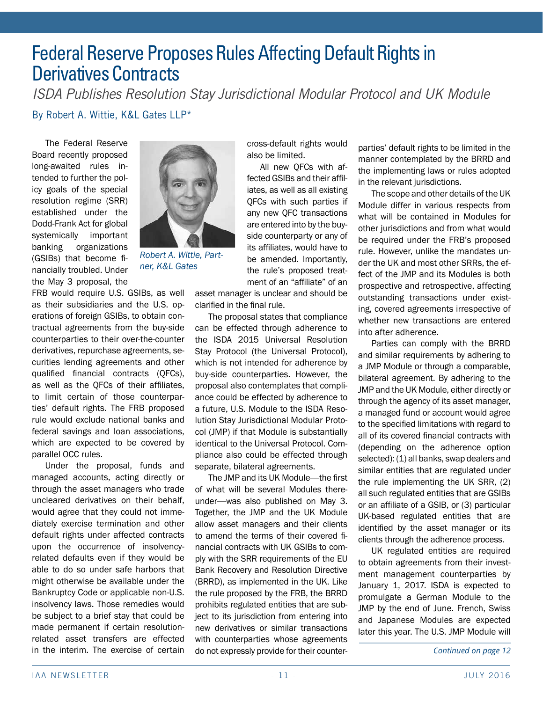## Federal Reserve Proposes Rules Affecting Default Rights in Derivatives Contracts

By Robert A. Wittie, K&L Gates LLP\* *ISDA Publishes Resolution Stay Jurisdictional Modular Protocol and UK Module*

The Federal Reserve Board recently proposed long-awaited rules intended to further the policy goals of the special resolution regime (SRR) established under the Dodd-Frank Act for global systemically important banking organizations (GSIBs) that become financially troubled. Under the May 3 proposal, the



*Robert A. Wittie, Partner, K&L Gates*

FRB would require U.S. GSIBs, as well as their subsidiaries and the U.S. operations of foreign GSIBs, to obtain contractual agreements from the buy-side counterparties to their over-the-counter derivatives, repurchase agreements, securities lending agreements and other qualified financial contracts (QFCs), as well as the QFCs of their affiliates, to limit certain of those counterparties' default rights. The FRB proposed rule would exclude national banks and federal savings and loan associations, which are expected to be covered by parallel OCC rules.

Under the proposal, funds and managed accounts, acting directly or through the asset managers who trade uncleared derivatives on their behalf, would agree that they could not immediately exercise termination and other default rights under affected contracts upon the occurrence of insolvencyrelated defaults even if they would be able to do so under safe harbors that might otherwise be available under the Bankruptcy Code or applicable non-U.S. insolvency laws. Those remedies would be subject to a brief stay that could be made permanent if certain resolutionrelated asset transfers are effected in the interim. The exercise of certain

cross-default rights would also be limited.

All new QFCs with affected GSIBs and their affiliates, as well as all existing QFCs with such parties if any new QFC transactions are entered into by the buyside counterparty or any of its affiliates, would have to be amended. Importantly, the rule's proposed treatment of an "affiliate" of an

asset manager is unclear and should be clarified in the final rule.

The proposal states that compliance can be effected through adherence to the ISDA 2015 Universal Resolution Stay Protocol (the Universal Protocol), which is not intended for adherence by buy-side counterparties. However, the proposal also contemplates that compliance could be effected by adherence to a future, U.S. Module to the ISDA Resolution Stay Jurisdictional Modular Protocol (JMP) if that Module is substantially identical to the Universal Protocol. Compliance also could be effected through separate, bilateral agreements.

The JMP and its UK Module—the first of what will be several Modules thereunder—was also published on May 3. Together, the JMP and the UK Module allow asset managers and their clients to amend the terms of their covered financial contracts with UK GSIBs to comply with the SRR requirements of the EU Bank Recovery and Resolution Directive (BRRD), as implemented in the UK. Like the rule proposed by the FRB, the BRRD prohibits regulated entities that are subject to its jurisdiction from entering into new derivatives or similar transactions with counterparties whose agreements do not expressly provide for their counter- *Continued on page 12*

parties' default rights to be limited in the manner contemplated by the BRRD and the implementing laws or rules adopted in the relevant jurisdictions.

The scope and other details of the UK Module differ in various respects from what will be contained in Modules for other jurisdictions and from what would be required under the FRB's proposed rule. However, unlike the mandates under the UK and most other SRRs, the effect of the JMP and its Modules is both prospective and retrospective, affecting outstanding transactions under existing, covered agreements irrespective of whether new transactions are entered into after adherence.

Parties can comply with the BRRD and similar requirements by adhering to a JMP Module or through a comparable, bilateral agreement. By adhering to the JMP and the UK Module, either directly or through the agency of its asset manager, a managed fund or account would agree to the specified limitations with regard to all of its covered financial contracts with (depending on the adherence option selected): (1) all banks, swap dealers and similar entities that are regulated under the rule implementing the UK SRR, (2) all such regulated entities that are GSIBs or an affiliate of a GSIB, or (3) particular UK-based regulated entities that are identified by the asset manager or its clients through the adherence process.

UK regulated entities are required to obtain agreements from their investment management counterparties by January 1, 2017. ISDA is expected to promulgate a German Module to the JMP by the end of June. French, Swiss and Japanese Modules are expected later this year. The U.S. JMP Module will